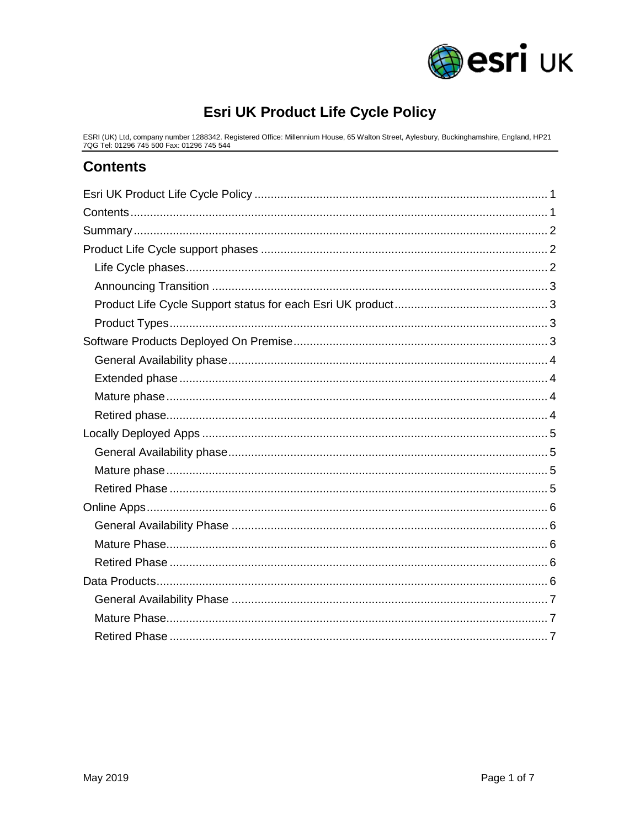

# **Esri UK Product Life Cycle Policy**

<span id="page-0-0"></span>ESRI (UK) Ltd, company number 1288342. Registered Office: Millennium House, 65 Walton Street, Aylesbury, Buckinghamshire, England, HP21<br>7QG Tel: 01296 745 500 Fax: 01296 745 544

### <span id="page-0-1"></span>**Contents**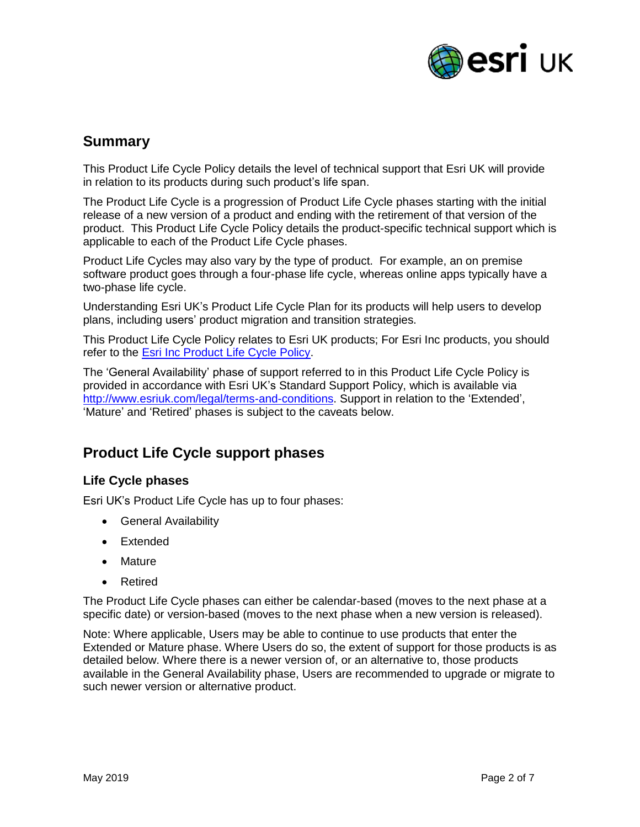

## <span id="page-1-0"></span>**Summary**

This Product Life Cycle Policy details the level of technical support that Esri UK will provide in relation to its products during such product's life span.

The Product Life Cycle is a progression of Product Life Cycle phases starting with the initial release of a new version of a product and ending with the retirement of that version of the product. This Product Life Cycle Policy details the product-specific technical support which is applicable to each of the Product Life Cycle phases.

Product Life Cycles may also vary by the type of product. For example, an on premise software product goes through a four-phase life cycle, whereas online apps typically have a two-phase life cycle.

Understanding Esri UK's Product Life Cycle Plan for its products will help users to develop plans, including users' product migration and transition strategies.

This Product Life Cycle Policy relates to Esri UK products; For Esri Inc products, you should refer to the [Esri Inc Product Life Cycle Policy.](http://downloads2.esri.com/support/TechArticles/Product-Life-Cycle.pdf)

The 'General Availability' phase of support referred to in this Product Life Cycle Policy is provided in accordance with Esri UK's Standard Support Policy, which is available via [http://www.esriuk.com/legal/terms-and-conditions.](http://www.esriuk.com/legal/terms-and-conditions) Support in relation to the 'Extended', 'Mature' and 'Retired' phases is subject to the caveats below.

# <span id="page-1-1"></span>**Product Life Cycle support phases**

### <span id="page-1-2"></span>**Life Cycle phases**

Esri UK's Product Life Cycle has up to four phases:

- General Availability
- Extended
- Mature
- Retired

The Product Life Cycle phases can either be calendar-based (moves to the next phase at a specific date) or version-based (moves to the next phase when a new version is released).

Note: Where applicable, Users may be able to continue to use products that enter the Extended or Mature phase. Where Users do so, the extent of support for those products is as detailed below. Where there is a newer version of, or an alternative to, those products available in the General Availability phase, Users are recommended to upgrade or migrate to such newer version or alternative product.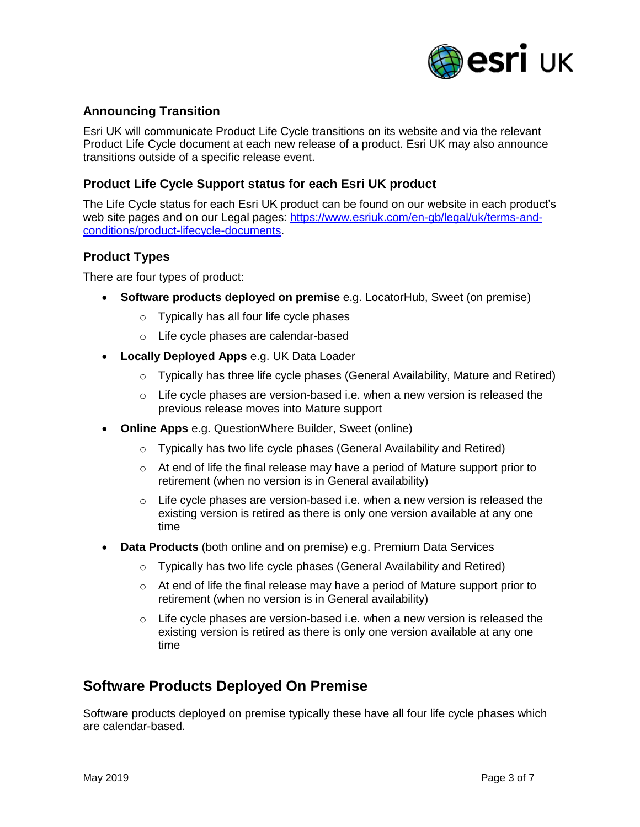

### <span id="page-2-0"></span>**Announcing Transition**

Esri UK will communicate Product Life Cycle transitions on its website and via the relevant Product Life Cycle document at each new release of a product. Esri UK may also announce transitions outside of a specific release event.

### <span id="page-2-1"></span>**Product Life Cycle Support status for each Esri UK product**

The Life Cycle status for each Esri UK product can be found on our website in each product's web site pages and on our Legal pages: [https://www.esriuk.com/en-gb/legal/uk/terms-and](https://www.esriuk.com/en-gb/legal/uk/terms-and-conditions/product-lifecycle-documents)[conditions/product-lifecycle-documents.](https://www.esriuk.com/en-gb/legal/uk/terms-and-conditions/product-lifecycle-documents)

#### <span id="page-2-2"></span>**Product Types**

There are four types of product:

- **Software products deployed on premise** e.g. LocatorHub, Sweet (on premise)
	- o Typically has all four life cycle phases
	- o Life cycle phases are calendar-based
- **Locally Deployed Apps** e.g. UK Data Loader
	- $\circ$  Typically has three life cycle phases (General Availability, Mature and Retired)
	- o Life cycle phases are version-based i.e. when a new version is released the previous release moves into Mature support
- **Online Apps** e.g. QuestionWhere Builder, Sweet (online)
	- o Typically has two life cycle phases (General Availability and Retired)
	- $\circ$  At end of life the final release may have a period of Mature support prior to retirement (when no version is in General availability)
	- $\circ$  Life cycle phases are version-based i.e. when a new version is released the existing version is retired as there is only one version available at any one time
- **Data Products** (both online and on premise) e.g. Premium Data Services
	- o Typically has two life cycle phases (General Availability and Retired)
	- o At end of life the final release may have a period of Mature support prior to retirement (when no version is in General availability)
	- $\circ$  Life cycle phases are version-based i.e. when a new version is released the existing version is retired as there is only one version available at any one time

### <span id="page-2-3"></span>**Software Products Deployed On Premise**

Software products deployed on premise typically these have all four life cycle phases which are calendar-based.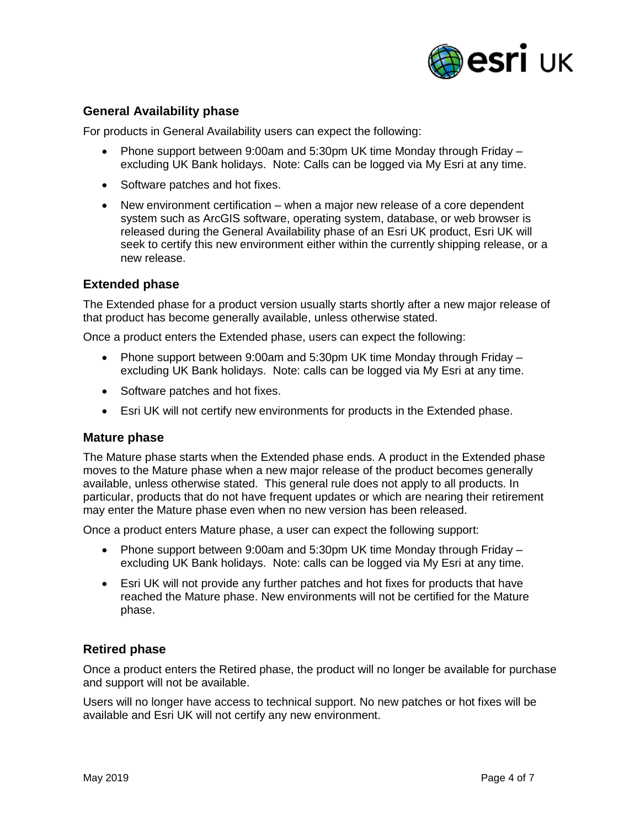

### <span id="page-3-0"></span>**General Availability phase**

For products in General Availability users can expect the following:

- Phone support between 9:00am and 5:30pm UK time Monday through Friday excluding UK Bank holidays. Note: Calls can be logged via My Esri at any time.
- Software patches and hot fixes.
- New environment certification when a major new release of a core dependent system such as ArcGIS software, operating system, database, or web browser is released during the General Availability phase of an Esri UK product, Esri UK will seek to certify this new environment either within the currently shipping release, or a new release.

### <span id="page-3-1"></span>**Extended phase**

The Extended phase for a product version usually starts shortly after a new major release of that product has become generally available, unless otherwise stated.

Once a product enters the Extended phase, users can expect the following:

- Phone support between 9:00am and 5:30pm UK time Monday through Friday excluding UK Bank holidays. Note: calls can be logged via My Esri at any time.
- Software patches and hot fixes.
- Esri UK will not certify new environments for products in the Extended phase.

#### <span id="page-3-2"></span>**Mature phase**

The Mature phase starts when the Extended phase ends. A product in the Extended phase moves to the Mature phase when a new major release of the product becomes generally available, unless otherwise stated. This general rule does not apply to all products. In particular, products that do not have frequent updates or which are nearing their retirement may enter the Mature phase even when no new version has been released.

Once a product enters Mature phase, a user can expect the following support:

- Phone support between 9:00am and 5:30pm UK time Monday through Friday excluding UK Bank holidays. Note: calls can be logged via My Esri at any time.
- Esri UK will not provide any further patches and hot fixes for products that have reached the Mature phase. New environments will not be certified for the Mature phase.

### <span id="page-3-3"></span>**Retired phase**

Once a product enters the Retired phase, the product will no longer be available for purchase and support will not be available.

Users will no longer have access to technical support. No new patches or hot fixes will be available and Esri UK will not certify any new environment.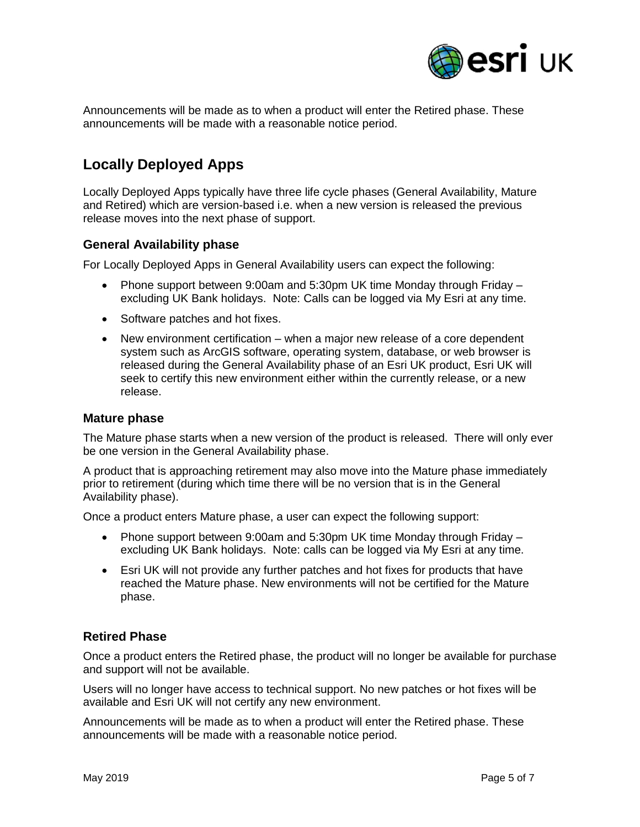

Announcements will be made as to when a product will enter the Retired phase. These announcements will be made with a reasonable notice period.

# <span id="page-4-0"></span>**Locally Deployed Apps**

Locally Deployed Apps typically have three life cycle phases (General Availability, Mature and Retired) which are version-based i.e. when a new version is released the previous release moves into the next phase of support.

### <span id="page-4-1"></span>**General Availability phase**

For Locally Deployed Apps in General Availability users can expect the following:

- Phone support between 9:00am and 5:30pm UK time Monday through Friday excluding UK Bank holidays. Note: Calls can be logged via My Esri at any time.
- Software patches and hot fixes.
- New environment certification when a major new release of a core dependent system such as ArcGIS software, operating system, database, or web browser is released during the General Availability phase of an Esri UK product, Esri UK will seek to certify this new environment either within the currently release, or a new release.

#### <span id="page-4-2"></span>**Mature phase**

The Mature phase starts when a new version of the product is released. There will only ever be one version in the General Availability phase.

A product that is approaching retirement may also move into the Mature phase immediately prior to retirement (during which time there will be no version that is in the General Availability phase).

Once a product enters Mature phase, a user can expect the following support:

- Phone support between 9:00am and 5:30pm UK time Monday through Friday excluding UK Bank holidays. Note: calls can be logged via My Esri at any time.
- Esri UK will not provide any further patches and hot fixes for products that have reached the Mature phase. New environments will not be certified for the Mature phase.

### <span id="page-4-3"></span>**Retired Phase**

Once a product enters the Retired phase, the product will no longer be available for purchase and support will not be available.

Users will no longer have access to technical support. No new patches or hot fixes will be available and Esri UK will not certify any new environment.

Announcements will be made as to when a product will enter the Retired phase. These announcements will be made with a reasonable notice period.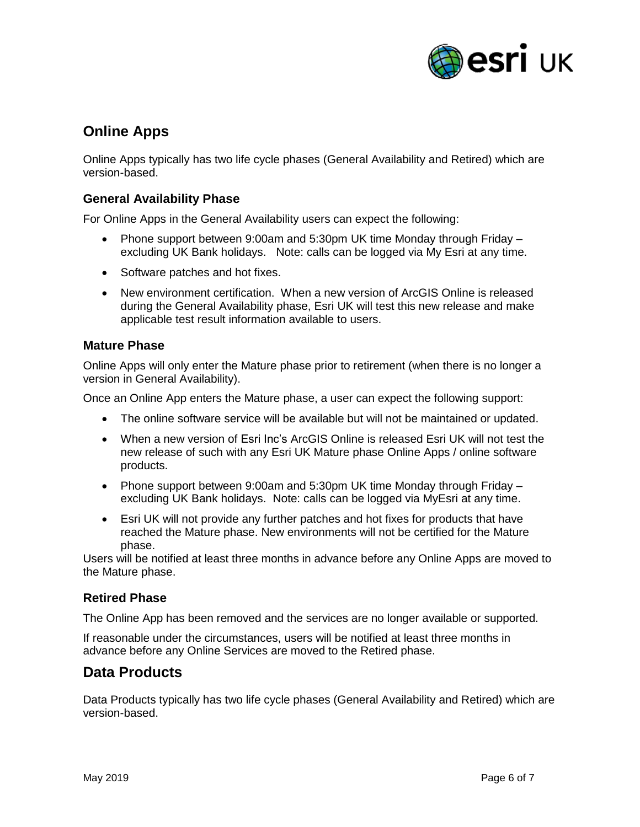

# <span id="page-5-0"></span>**Online Apps**

Online Apps typically has two life cycle phases (General Availability and Retired) which are version-based.

### <span id="page-5-1"></span>**General Availability Phase**

For Online Apps in the General Availability users can expect the following:

- Phone support between 9:00am and 5:30pm UK time Monday through Friday excluding UK Bank holidays. Note: calls can be logged via My Esri at any time.
- Software patches and hot fixes.
- New environment certification. When a new version of ArcGIS Online is released during the General Availability phase, Esri UK will test this new release and make applicable test result information available to users.

### <span id="page-5-2"></span>**Mature Phase**

Online Apps will only enter the Mature phase prior to retirement (when there is no longer a version in General Availability).

Once an Online App enters the Mature phase, a user can expect the following support:

- The online software service will be available but will not be maintained or updated.
- When a new version of Esri Inc's ArcGIS Online is released Esri UK will not test the new release of such with any Esri UK Mature phase Online Apps / online software products.
- Phone support between 9:00am and 5:30pm UK time Monday through Friday excluding UK Bank holidays. Note: calls can be logged via MyEsri at any time.
- Esri UK will not provide any further patches and hot fixes for products that have reached the Mature phase. New environments will not be certified for the Mature phase.

Users will be notified at least three months in advance before any Online Apps are moved to the Mature phase.

### <span id="page-5-3"></span>**Retired Phase**

The Online App has been removed and the services are no longer available or supported.

If reasonable under the circumstances, users will be notified at least three months in advance before any Online Services are moved to the Retired phase.

### <span id="page-5-4"></span>**Data Products**

Data Products typically has two life cycle phases (General Availability and Retired) which are version-based.